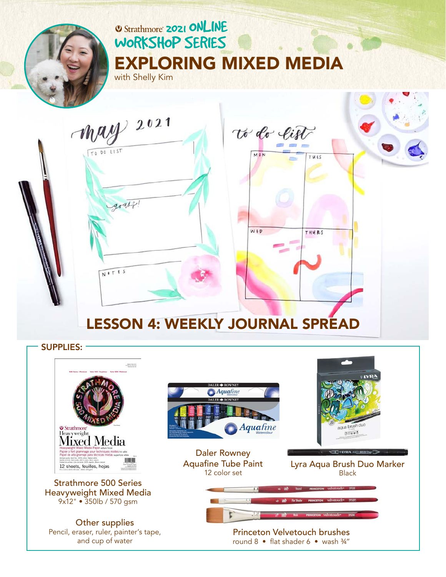

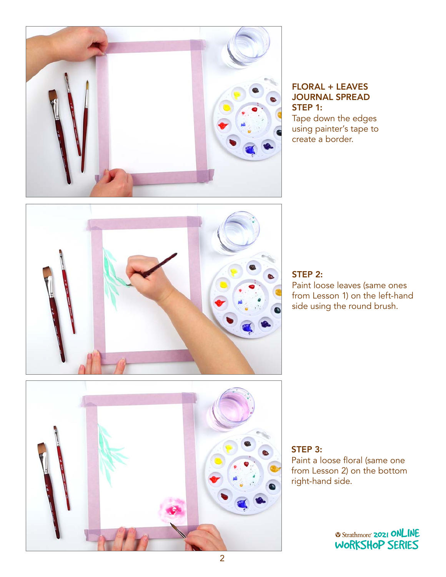

## FLORAL + LEAVES JOURNAL SPREAD STEP 1:

Tape down the edges using painter's tape to create a border.



### STEP 2:

Paint loose leaves (same ones from Lesson 1) on the left-hand side using the round brush.



STEP 3: Paint a loose floral (same one from Lesson 2) on the bottom right-hand side.

**2021 ONLINE** [WORKSHOP SERIES](https://www.strathmoreartiststudio.com/)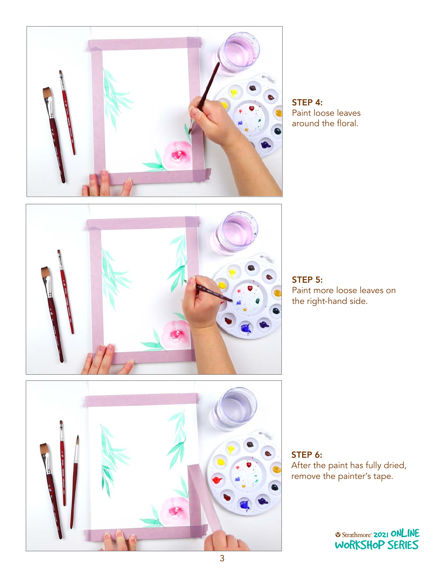

STEP 4: Paint loose leaves around the floral.



STEP 5: Paint more loose leaves on the right-hand side.



STEP 6: After the paint has fully dried, remove the painter's tape. 2021 ONLINE

2021 ONLINE [WORKSHOP SERIES](https://www.strathmoreartiststudio.com/)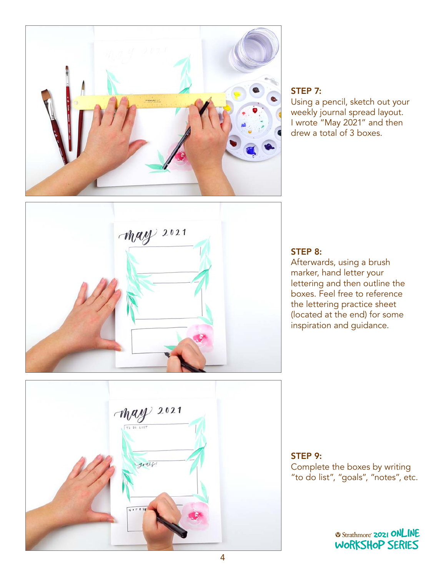

#### STEP 7:

Using a pencil, sketch out your weekly journal spread layout. I wrote "May 2021" and then drew a total of 3 boxes.



#### STEP 8:

Afterwards, using a brush marker, hand letter your lettering and then outline the boxes. Feel free to reference the lettering practice sheet (located at the end) for some inspiration and guidance.



# STEP 9: Complete the boxes by writing "to do list", "goals", "notes", etc.<br>"

**2021 ONLINE** [WORKSHOP SERIES](https://www.strathmoreartiststudio.com/)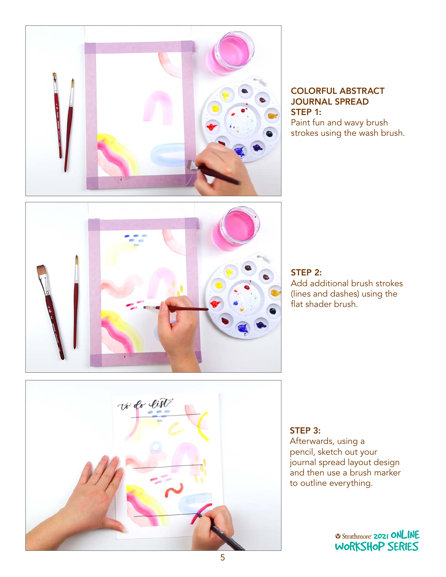

COLORFUL ABSTRACT JOURNAL SPREAD STEP 1: Paint fun and wavy brush strokes using the wash brush.



STEP 2: Add additional brush strokes (lines and dashes) using the flat shader brush.



#### STEP 3: Afterwards, using a pencil, sketch out your journal spread layout design and then use a brush marker

to outline everything.

*Q Strathmore* **2021 ONLINE** [WORKSHOP SERIES](https://www.strathmoreartiststudio.com/)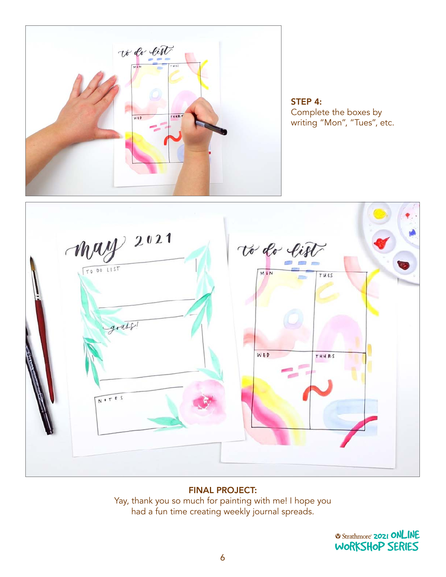

STEP 4: Complete the boxes by writing "Mon", "Tues", etc.



#### FINAL PROJECT:

Yay, thank you so much for painting with me! I hope you had a fun time creating weekly journal spreads.